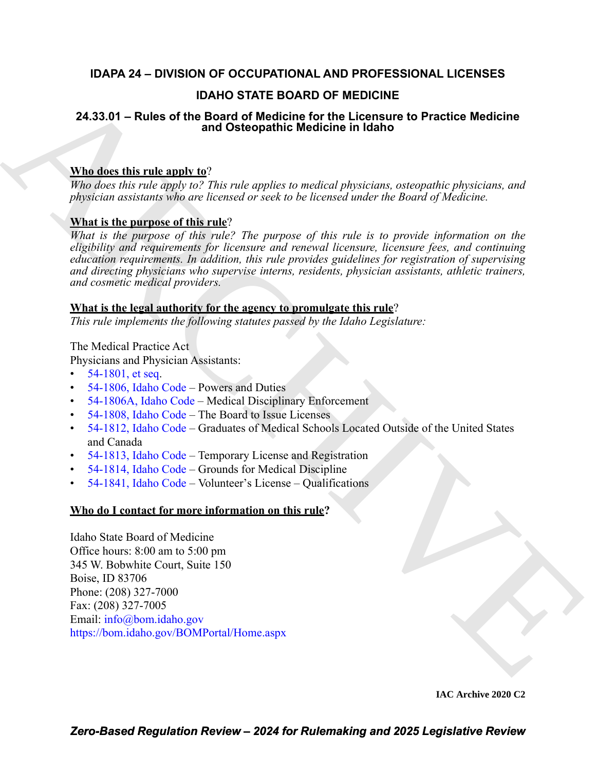# **IDAPA 24 – DIVISION OF OCCUPATIONAL AND PROFESSIONAL LICENSES**

# **IDAHO STATE BOARD OF MEDICINE**

# **24.33.01 – Rules of the Board of Medicine for the Licensure to Practice Medicine and Osteopathic Medicine in Idaho**

# **Who does this rule apply to**?

*Who does this rule apply to? This rule applies to medical physicians, osteopathic physicians, and physician assistants who are licensed or seek to be licensed under the Board of Medicine.*

# **What is the purpose of this rule**?

**12.4.33.01 – Rules of the Board of Medicine for the Licenseure to Practice Medicine<br>
24.33.01 – Rules of the angle of Medicine for the Licenseure to Practice Medicine<br>
Whe dues this rule apply to The red opplies on exclu** *What is the purpose of this rule? The purpose of this rule is to provide information on the eligibility and requirements for licensure and renewal licensure, licensure fees, and continuing education requirements. In addition, this rule provides guidelines for registration of supervising and directing physicians who supervise interns, residents, physician assistants, athletic trainers, and cosmetic medical providers.*

## **What is the legal authority for the agency to promulgate this rule**?

*This rule implements the following statutes passed by the Idaho Legislature:*

The Medical Practice Act

Physicians and Physician Assistants:

- $54-1801$ , et seq.
- 54-1806, Idaho Code Powers and Duties
- 54-1806A, Idaho Code Medical Disciplinary Enforcement
- 54-1808, Idaho Code The Board to Issue Licenses
- 54-1812, Idaho Code Graduates of Medical Schools Located Outside of the United States and Canada
- 54-1813, Idaho Code Temporary License and Registration
- 54-1814, Idaho Code Grounds for Medical Discipline
- 54-1841, Idaho Code Volunteer's License Qualifications

# **Who do I contact for more information on this rule?**

Idaho State Board of Medicine Office hours: 8:00 am to 5:00 pm 345 W. Bobwhite Court, Suite 150 Boise, ID 83706 Phone: (208) 327-7000 Fax: (208) 327-7005 Email: info@bom.idaho.gov https://bom.idaho.gov/BOMPortal/Home.aspx

**IAC Archive 2020 C2**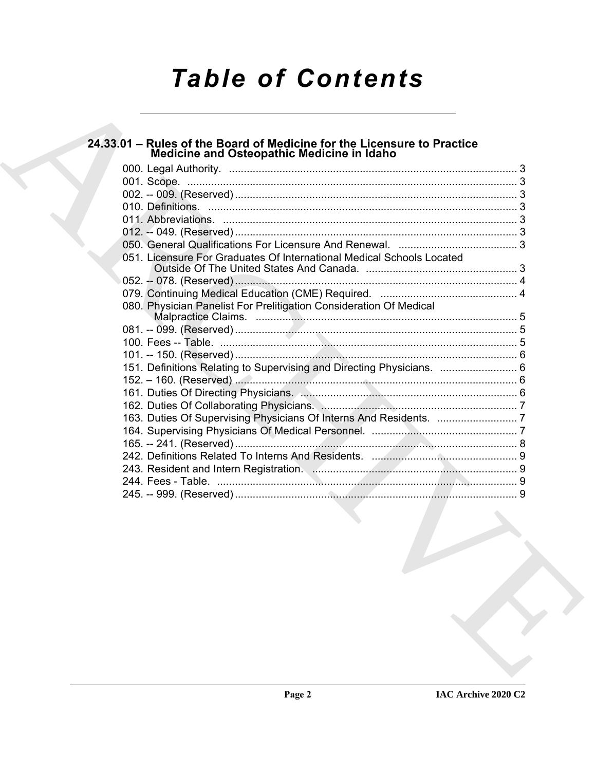# *Table of Contents*

# **24.33.01 – Rules of the Board of Medicine for the Licensure to Practice Medicine and Osteopathic Medicine in Idaho**

| 051. Licensure For Graduates Of International Medical Schools Located |  |
|-----------------------------------------------------------------------|--|
|                                                                       |  |
|                                                                       |  |
| 080. Physician Panelist For Prelitigation Consideration Of Medical    |  |
|                                                                       |  |
|                                                                       |  |
|                                                                       |  |
| 151. Definitions Relating to Supervising and Directing Physicians.  6 |  |
|                                                                       |  |
|                                                                       |  |
|                                                                       |  |
|                                                                       |  |
|                                                                       |  |
|                                                                       |  |
|                                                                       |  |
|                                                                       |  |
|                                                                       |  |
|                                                                       |  |
|                                                                       |  |
|                                                                       |  |
|                                                                       |  |
|                                                                       |  |
|                                                                       |  |
|                                                                       |  |
|                                                                       |  |
|                                                                       |  |

**IAC Archive 2020 C2**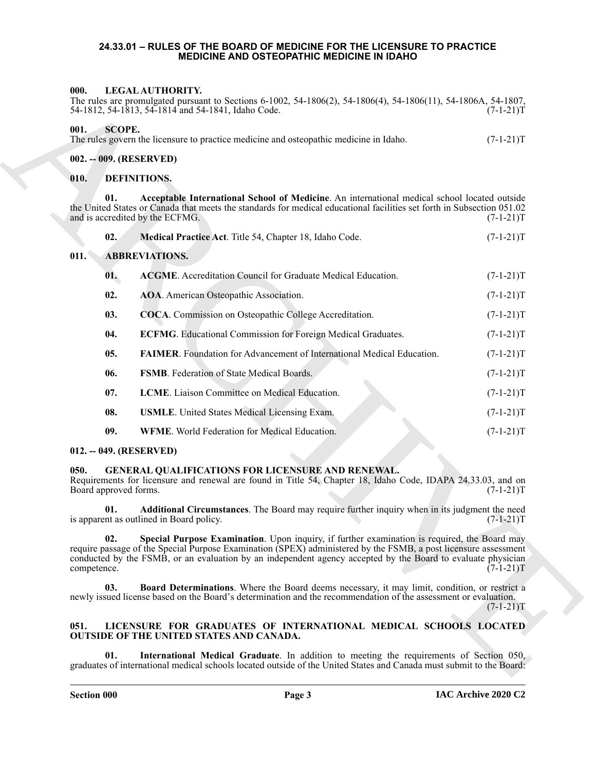#### <span id="page-2-0"></span>**24.33.01 – RULES OF THE BOARD OF MEDICINE FOR THE LICENSURE TO PRACTICE MEDICINE AND OSTEOPATHIC MEDICINE IN IDAHO**

#### <span id="page-2-26"></span><span id="page-2-1"></span>**000. LEGAL AUTHORITY.**

|                                                    |  | The rules are promulgated pursuant to Sections 6-1002, 54-1806(2), 54-1806(4), 54-1806(11), 54-1806A, 54-1807, |
|----------------------------------------------------|--|----------------------------------------------------------------------------------------------------------------|
| 54-1812, 54-1813, 54-1814 and 54-1841, Idaho Code. |  | $(7-1-21)T$                                                                                                    |

<span id="page-2-2"></span>

| 001. | SCOPE.                                                                                 |             |
|------|----------------------------------------------------------------------------------------|-------------|
|      | The rules govern the licensure to practice medicine and osteopathic medicine in Idaho. | $(7-1-21)T$ |

#### <span id="page-2-3"></span>**002. -- 009. (RESERVED)**

#### <span id="page-2-21"></span><span id="page-2-20"></span><span id="page-2-19"></span><span id="page-2-12"></span><span id="page-2-11"></span><span id="page-2-10"></span><span id="page-2-9"></span><span id="page-2-5"></span><span id="page-2-4"></span>**010. DEFINITIONS.**

| 000.                          | LEGAL AUTHORITY.<br>The rules are promulgated pursuant to Sections 6-1002, 54-1806(2), 54-1806(4), 54-1806(11), 54-1806A, 54-1807,<br>54-1812, 54-1813, 54-1814 and 54-1841, Idaho Code.                                                                                                                                        | $(7-1-21)T$ |
|-------------------------------|---------------------------------------------------------------------------------------------------------------------------------------------------------------------------------------------------------------------------------------------------------------------------------------------------------------------------------|-------------|
| 001.                          | <b>SCOPE.</b><br>The rules govern the licensure to practice medicine and osteopathic medicine in Idaho.                                                                                                                                                                                                                         | $(7-1-21)T$ |
|                               | 002. -- 009. (RESERVED)                                                                                                                                                                                                                                                                                                         |             |
| 010.                          | DEFINITIONS.                                                                                                                                                                                                                                                                                                                    |             |
| 01.                           | Acceptable International School of Medicine. An international medical school located outside<br>the United States or Canada that meets the standards for medical educational facilities set forth in Subsection 051.02<br>and is accredited by the ECFMG.                                                                       | $(7-1-21)T$ |
| 02.                           | Medical Practice Act. Title 54, Chapter 18, Idaho Code.                                                                                                                                                                                                                                                                         | $(7-1-21)T$ |
| 011.                          | <b>ABBREVIATIONS.</b>                                                                                                                                                                                                                                                                                                           |             |
| 01.                           | <b>ACGME.</b> Accreditation Council for Graduate Medical Education.                                                                                                                                                                                                                                                             | $(7-1-21)T$ |
| 02.                           | AOA. American Osteopathic Association.                                                                                                                                                                                                                                                                                          | $(7-1-21)T$ |
| 03.                           | COCA. Commission on Osteopathic College Accreditation.                                                                                                                                                                                                                                                                          | $(7-1-21)T$ |
| 04.                           | <b>ECFMG</b> . Educational Commission for Foreign Medical Graduates.                                                                                                                                                                                                                                                            | $(7-1-21)T$ |
| 05.                           | FAIMER. Foundation for Advancement of International Medical Education.                                                                                                                                                                                                                                                          | $(7-1-21)T$ |
| 06.                           | FSMB. Federation of State Medical Boards.                                                                                                                                                                                                                                                                                       | $(7-1-21)T$ |
| 07.                           | LCME. Liaison Committee on Medical Education.                                                                                                                                                                                                                                                                                   | $(7-1-21)T$ |
| 08.                           | <b>USMLE</b> . United States Medical Licensing Exam.                                                                                                                                                                                                                                                                            | $(7-1-21)T$ |
| 09.                           | <b>WFME.</b> World Federation for Medical Education.                                                                                                                                                                                                                                                                            | $(7-1-21)T$ |
|                               | $012. - 049. (RESERVED)$                                                                                                                                                                                                                                                                                                        |             |
| 050.<br>Board approved forms. | GENERAL QUALIFICATIONS FOR LICENSURE AND RENEWAL.<br>Requirements for licensure and renewal are found in Title 54, Chapter 18, Idaho Code, IDAPA 24.33.03, and on                                                                                                                                                               | $(7-1-21)T$ |
| 01.                           | Additional Circumstances. The Board may require further inquiry when in its judgment the need<br>is apparent as outlined in Board policy.                                                                                                                                                                                       | $(7-1-21)T$ |
| 02.<br>competence.            | Special Purpose Examination. Upon inquiry, if further examination is required, the Board may<br>require passage of the Special Purpose Examination (SPEX) administered by the FSMB, a post licensure assessment<br>conducted by the FSMB, or an evaluation by an independent agency accepted by the Board to evaluate physician | $(7-1-21)T$ |
| 03.                           | Board Determinations. Where the Board deems necessary, it may limit, condition, or restrict a<br>newly issued license based on the Board's determination and the recommendation of the assessment or evaluation.                                                                                                                | $(7-1-21)T$ |
| 051.                          | LICENSURE FOR GRADUATES OF INTERNATIONAL MEDICAL SCHOOLS LOCATED<br><b>OUTSIDE OF THE UNITED STATES AND CANADA.</b>                                                                                                                                                                                                             |             |
| 01.                           | International Medical Graduate. In addition to meeting the requirements of Section 050,<br>graduates of international medical schools located outside of the United States and Canada must submit to the Board:                                                                                                                 |             |
|                               |                                                                                                                                                                                                                                                                                                                                 |             |

#### <span id="page-2-18"></span><span id="page-2-17"></span><span id="page-2-16"></span><span id="page-2-15"></span><span id="page-2-14"></span><span id="page-2-13"></span><span id="page-2-6"></span>**012. -- 049. (RESERVED)**

#### <span id="page-2-25"></span><span id="page-2-23"></span><span id="page-2-22"></span><span id="page-2-7"></span>**050. GENERAL QUALIFICATIONS FOR LICENSURE AND RENEWAL.**

#### <span id="page-2-28"></span><span id="page-2-27"></span><span id="page-2-24"></span><span id="page-2-8"></span>**051. LICENSURE FOR GRADUATES OF INTERNATIONAL MEDICAL SCHOOLS LOCATED OUTSIDE OF THE UNITED STATES AND CANADA.**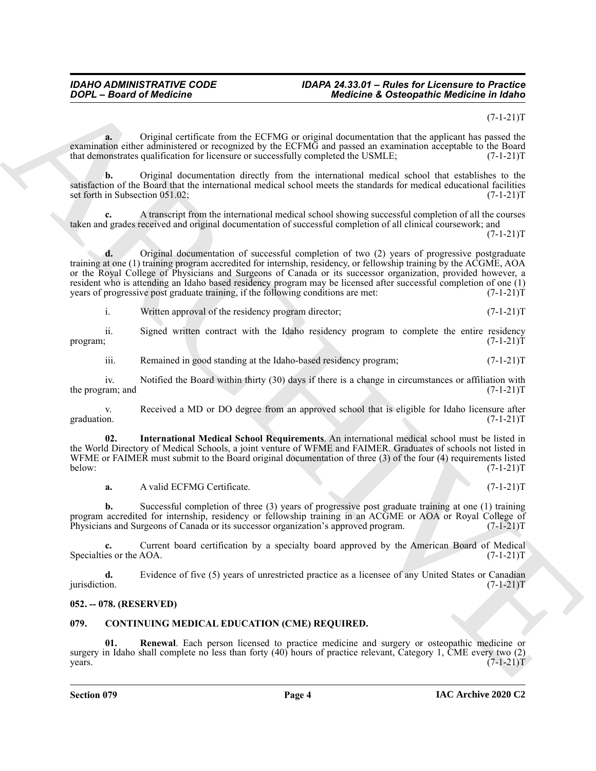#### *IDAHO ADMINISTRATIVE CODE IDAPA 24.33.01 – Rules for Licensure to Practice DOPL – Board of Medicine Medicine & Osteopathic Medicine in Idaho*

#### $(7-1-21)T$

**a.** Original certificate from the ECFMG or original documentation that the applicant has passed the examination either administered or recognized by the ECFMG and passed an examination acceptable to the Board that demonstrates qualification for licensure or successfully completed the USMLE;  $(7-1-21)$ T

**b.** Original documentation directly from the international medical school that establishes to the satisfaction of the Board that the international medical school meets the standards for medical educational facilities set forth in Subsection 051.02; (7-1-21)T

**c.** A transcript from the international medical school showing successful completion of all the courses taken and grades received and original documentation of successful completion of all clinical coursework; and  $(7-1-21)T$ 

**2004** - Braard of Medicine <sup>2</sup> - Medicine 2. Distribution at the system of the system of the system of the system of the system of the system of the system of the system of the system of the system of the system of the s **d.** Original documentation of successful completion of two (2) years of progressive postgraduate training at one (1) training program accredited for internship, residency, or fellowship training by the ACGME, AOA or the Royal College of Physicians and Surgeons of Canada or its successor organization, provided however, a resident who is attending an Idaho based residency program may be licensed after successful completion of one (1) years of progressive post graduate training, if the following conditions are met: (7-1-21)T

i. Written approval of the residency program director;  $(7-1-21)$ T

ii. Signed written contract with the Idaho residency program to complete the entire residency program; (7-1-21)T

iii. Remained in good standing at the Idaho-based residency program;  $(7-1-21)$ T

iv. Notified the Board within thirty (30) days if there is a change in circumstances or affiliation with ram; and  $(7-1-21)T$ the program; and

v. Received a MD or DO degree from an approved school that is eligible for Idaho licensure after graduation. (7-1-21)T graduation.  $(7-1-21)T$ 

**02. International Medical School Requirements**. An international medical school must be listed in the World Directory of Medical Schools, a joint venture of WFME and FAIMER. Graduates of schools not listed in WFME or FAIMER must submit to the Board original documentation of three (3) of the four (4) requirements listed<br>(7-1-21)T below: (7-1-21)T

<span id="page-3-4"></span>**a.** A valid ECFMG Certificate. (7-1-21)T

**b.** Successful completion of three (3) years of progressive post graduate training at one (1) training program accredited for internship, residency or fellowship training in an ACGME or AOA or Royal College of Physicians and Surgeons of Canada or its successor organization's approved program. (7-1-21)T

**c.** Current board certification by a specialty board approved by the American Board of Medical es or the AOA.  $(7-1-21)T$ Specialties or the AOA.

**d.** Evidence of five (5) years of unrestricted practice as a licensee of any United States or Canadian jurisdiction.  $(7-1-21)T$ jurisdiction. (7-1-21)T

## <span id="page-3-0"></span>**052. -- 078. (RESERVED)**

## <span id="page-3-2"></span><span id="page-3-1"></span>**079. CONTINUING MEDICAL EDUCATION (CME) REQUIRED.**

<span id="page-3-3"></span>**01. Renewal**. Each person licensed to practice medicine and surgery or osteopathic medicine or surgery in Idaho shall complete no less than forty (40) hours of practice relevant, Category 1, CME every two (2) years. (7-1-21)T  $years.$  (7-1-21) $T$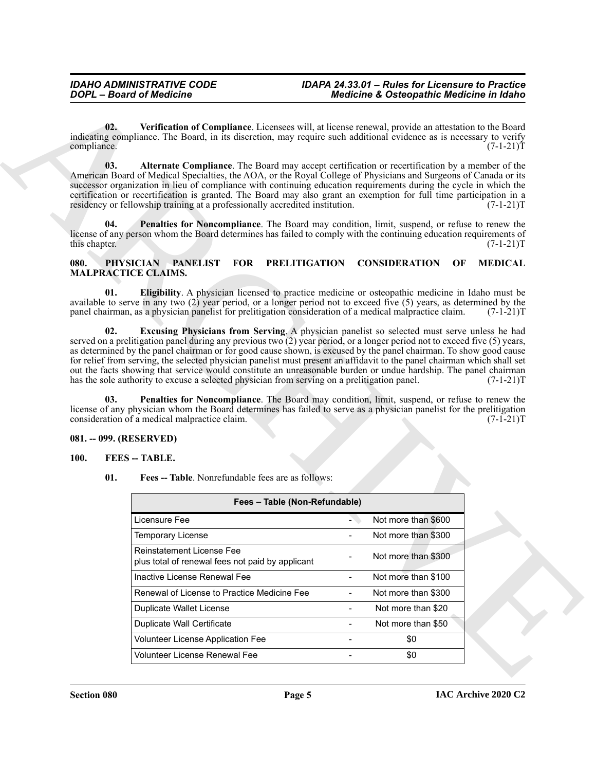## <span id="page-4-10"></span><span id="page-4-9"></span><span id="page-4-8"></span><span id="page-4-4"></span><span id="page-4-3"></span><span id="page-4-0"></span>**080. PHYSICIAN PANELIST FOR PRELITIGATION CONSIDERATION OF MEDICAL MALPRACTICE CLAIMS.**

## <span id="page-4-11"></span><span id="page-4-1"></span>**081. -- 099. (RESERVED)**

## <span id="page-4-7"></span><span id="page-4-6"></span><span id="page-4-2"></span>**100. FEES -- TABLE.**

<span id="page-4-5"></span>

|               |                                                                                                                                                                                                                                                                                                                                                                                                                                                     | <b>Medicine &amp; Osteopathic Medicine in Idaho</b>                                                                   |
|---------------|-----------------------------------------------------------------------------------------------------------------------------------------------------------------------------------------------------------------------------------------------------------------------------------------------------------------------------------------------------------------------------------------------------------------------------------------------------|-----------------------------------------------------------------------------------------------------------------------|
| compliance.   | 02.<br>indicating compliance. The Board, in its discretion, may require such additional evidence as is necessary to verify                                                                                                                                                                                                                                                                                                                          | Verification of Compliance. Licensees will, at license renewal, provide an attestation to the Board<br>$(7-1-21)T$    |
|               | 03.<br>American Board of Medical Specialties, the AOA, or the Royal College of Physicians and Surgeons of Canada or its<br>successor organization in lieu of compliance with continuing education requirements during the cycle in which the<br>certification or recertification is granted. The Board may also grant an exemption for full time participation in a<br>residency or fellowship training at a professionally accredited institution. | Alternate Compliance. The Board may accept certification or recertification by a member of the<br>$(7-1-21)T$         |
| this chapter. | 04.<br>license of any person whom the Board determines has failed to comply with the continuing education requirements of                                                                                                                                                                                                                                                                                                                           | Penalties for Noncompliance. The Board may condition, limit, suspend, or refuse to renew the<br>$(7-1-21)T$           |
| 080.          | PHYSICIAN PANELIST<br><b>MALPRACTICE CLAIMS.</b>                                                                                                                                                                                                                                                                                                                                                                                                    | FOR PRELITIGATION CONSIDERATION<br><b>MEDICAL</b><br>OF                                                               |
|               | 01.<br>available to serve in any two (2) year period, or a longer period not to exceed five (5) years, as determined by the<br>panel chairman, as a physician panelist for prelitigation consideration of a medical malpractice claim.                                                                                                                                                                                                              | <b>Eligibility.</b> A physician licensed to practice medicine or osteopathic medicine in Idaho must be<br>$(7-1-21)T$ |
|               | 02.<br>served on a prelitigation panel during any previous two (2) year period, or a longer period not to exceed five (5) years,<br>as determined by the panel chairman or for good cause shown, is excused by the panel chairman. To show good cause                                                                                                                                                                                               | Excusing Physicians from Serving. A physician panelist so selected must serve unless he had                           |
|               | for relief from serving, the selected physician panelist must present an affidavit to the panel chairman which shall set<br>out the facts showing that service would constitute an unreasonable burden or undue hardship. The panel chairman<br>has the sole authority to excuse a selected physician from serving on a prelitigation panel.<br>03.                                                                                                 | $(7-1-21)T$                                                                                                           |
|               | license of any physician whom the Board determines has failed to serve as a physician panelist for the prelitigation<br>consideration of a medical malpractice claim.                                                                                                                                                                                                                                                                               | Penalties for Noncompliance. The Board may condition, limit, suspend, or refuse to renew the<br>$(7-1-21)T$           |
|               | 081. -- 099. (RESERVED)                                                                                                                                                                                                                                                                                                                                                                                                                             |                                                                                                                       |
| <b>100.</b>   | <b>FEES</b> -- TABLE.                                                                                                                                                                                                                                                                                                                                                                                                                               |                                                                                                                       |
|               | 01.<br>Fees -- Table. Nonrefundable fees are as follows:                                                                                                                                                                                                                                                                                                                                                                                            |                                                                                                                       |
|               | Fees - Table (Non-Refundable)                                                                                                                                                                                                                                                                                                                                                                                                                       |                                                                                                                       |
|               | Licensure Fee                                                                                                                                                                                                                                                                                                                                                                                                                                       | Not more than \$600<br>a.                                                                                             |
|               | <b>Temporary License</b>                                                                                                                                                                                                                                                                                                                                                                                                                            | Not more than \$300<br>$\overline{a}$                                                                                 |
|               | Reinstatement License Fee<br>plus total of renewal fees not paid by applicant                                                                                                                                                                                                                                                                                                                                                                       | Not more than \$300                                                                                                   |
|               | Inactive License Renewal Fee                                                                                                                                                                                                                                                                                                                                                                                                                        | Not more than \$100<br>$\overline{\phantom{a}}$                                                                       |
|               | Renewal of License to Practice Medicine Fee                                                                                                                                                                                                                                                                                                                                                                                                         | Not more than \$300                                                                                                   |
|               | <b>Duplicate Wallet License</b>                                                                                                                                                                                                                                                                                                                                                                                                                     | Not more than \$20<br>$\blacksquare$                                                                                  |
|               | <b>Duplicate Wall Certificate</b>                                                                                                                                                                                                                                                                                                                                                                                                                   | Not more than \$50<br>$\overline{\phantom{a}}$                                                                        |
|               | Volunteer License Application Fee                                                                                                                                                                                                                                                                                                                                                                                                                   | \$0<br>$\blacksquare$                                                                                                 |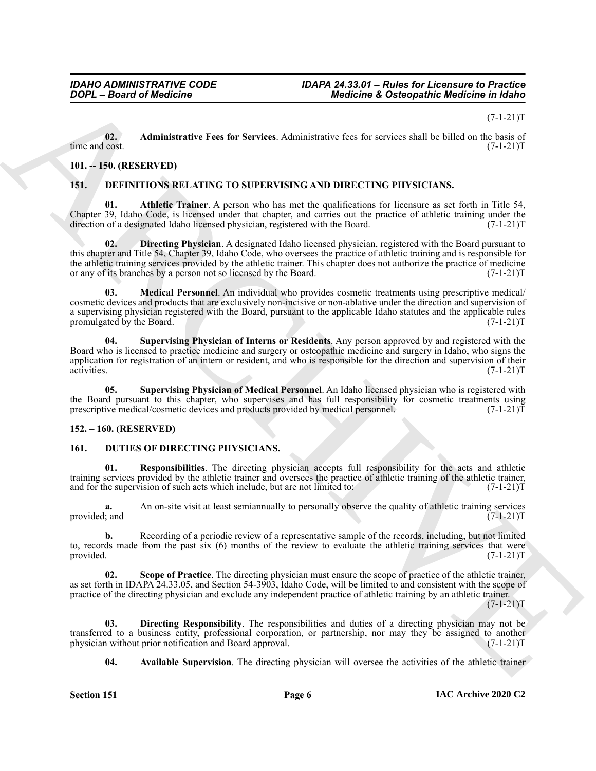$(7-1-21)T$ 

<span id="page-5-15"></span>**02.** Administrative Fees for Services. Administrative fees for services shall be billed on the basis of time and cost. (7-1-21)T time and cost.  $(7-1-21)T$ 

### <span id="page-5-0"></span>**101. -- 150. (RESERVED)**

#### <span id="page-5-5"></span><span id="page-5-4"></span><span id="page-5-1"></span>**151. DEFINITIONS RELATING TO SUPERVISING AND DIRECTING PHYSICIANS.**

**01. Athletic Trainer**. A person who has met the qualifications for licensure as set forth in Title 54, Chapter 39, Idaho Code, is licensed under that chapter, and carries out the practice of athletic training under the direction of a designated Idaho licensed physician, registered with the Board. (7-1-21)T direction of a designated Idaho licensed physician, registered with the Board.

<span id="page-5-7"></span><span id="page-5-6"></span>**02. Directing Physician**. A designated Idaho licensed physician, registered with the Board pursuant to this chapter and Title 54, Chapter 39, Idaho Code, who oversees the practice of athletic training and is responsible for the athletic training services provided by the athletic trainer. This chapter does not authorize the practice of medicine<br>or any of its branches by a person not so licensed by the Board. (7-1-21) or any of its branches by a person not so licensed by the Board.

**2004** - Beared of Medicine <sup>2</sup> - **Advisoring Constrainers** for distribution of Distribution in Value 10.<br>
Since 2008 - Administrative Foct for Services, Administrative fact for territoric Highler (1942) 11:<br>
13. Latitude **03. Medical Personnel**. An individual who provides cosmetic treatments using prescriptive medical/ cosmetic devices and products that are exclusively non-incisive or non-ablative under the direction and supervision of a supervising physician registered with the Board, pursuant to the applicable Idaho statutes and the applicable rules promulgated by the Board. (7-1-21)T promulgated by the Board.

<span id="page-5-8"></span>**04. Supervising Physician of Interns or Residents**. Any person approved by and registered with the Board who is licensed to practice medicine and surgery or osteopathic medicine and surgery in Idaho, who signs the application for registration of an intern or resident, and who is responsible for the direction and supervision of their activities. (7-1-21)T activities. (7-1-21)T

<span id="page-5-9"></span>**05. Supervising Physician of Medical Personnel**. An Idaho licensed physician who is registered with the Board pursuant to this chapter, who supervises and has full responsibility for cosmetic treatments using<br>prescriptive medical/cosmetic devices and products provided by medical personnel. (7-1-21) prescriptive medical/cosmetic devices and products provided by medical personnel.

## <span id="page-5-2"></span>**152. – 160. (RESERVED)**

#### <span id="page-5-10"></span><span id="page-5-3"></span>**161. DUTIES OF DIRECTING PHYSICIANS.**

<span id="page-5-13"></span>**01. Responsibilities**. The directing physician accepts full responsibility for the acts and athletic training services provided by the athletic trainer and oversees the practice of athletic training of the athletic trainer, and for the supervision of such acts which include, but are not limited to:  $(7-1-21)T$ 

**a.** An on-site visit at least semiannually to personally observe the quality of athletic training services is and  $(7-1-21)T$ provided; and

**b.** Recording of a periodic review of a representative sample of the records, including, but not limited to, records made from the past six (6) months of the review to evaluate the athletic training services that were provided.  $(7-1-21)T$ provided.  $(7-1-21)T$ 

<span id="page-5-14"></span>**02. Scope of Practice**. The directing physician must ensure the scope of practice of the athletic trainer, as set forth in IDAPA 24.33.05, and Section 54-3903, Idaho Code, will be limited to and consistent with the scope of practice of the directing physician and exclude any independent practice of athletic training by an athletic trainer.

 $(7-1-21)T$ 

**03. Directing Responsibility**. The responsibilities and duties of a directing physician may not be transferred to a business entity, professional corporation, or partnership, nor may they be assigned to another physician without prior notification and Board approval. (7-1-21) physician without prior notification and Board approval.

<span id="page-5-12"></span><span id="page-5-11"></span>**04. Available Supervision**. The directing physician will oversee the activities of the athletic trainer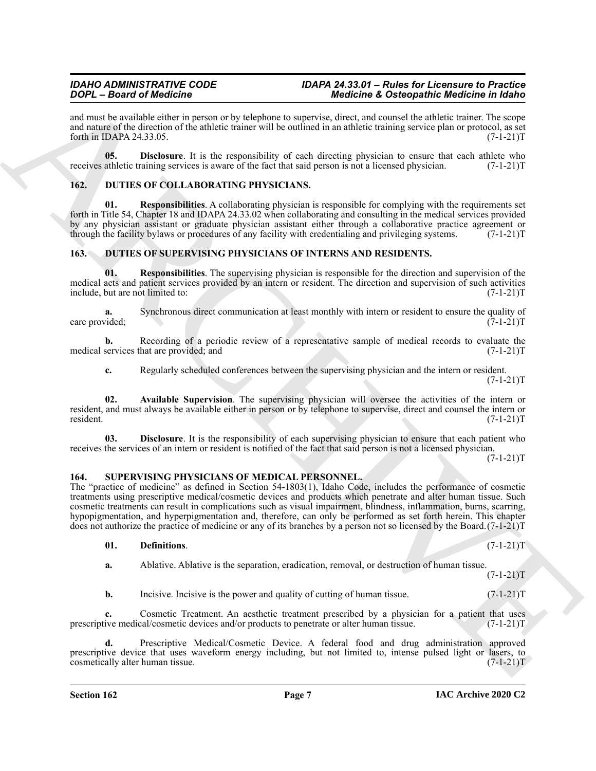and must be available either in person or by telephone to supervise, direct, and counsel the athletic trainer. The scope and nature of the direction of the athletic trainer will be outlined in an athletic training service plan or protocol, as set forth in IDAPA 24.33.05. forth in IDAPA  $24.33.05$ .

<span id="page-6-5"></span>**05. Disclosure**. It is the responsibility of each directing physician to ensure that each athlete who athletic training services is aware of the fact that said person is not a licensed physician. (7-1-21) receives athletic training services is aware of the fact that said person is not a licensed physician.

## <span id="page-6-4"></span><span id="page-6-3"></span><span id="page-6-0"></span>**162. DUTIES OF COLLABORATING PHYSICIANS.**

**01. Responsibilities**. A collaborating physician is responsible for complying with the requirements set forth in Title 54, Chapter 18 and IDAPA 24.33.02 when collaborating and consulting in the medical services provided by any physician assistant or graduate physician assistant either through a collaborative practice agreement or<br>through the facility by laws or procedures of any facility with credentialing and privileging systems. (7-1-21 through the facility bylaws or procedures of any facility with credentialing and privileging systems.

## <span id="page-6-6"></span><span id="page-6-1"></span>**163. DUTIES OF SUPERVISING PHYSICIANS OF INTERNS AND RESIDENTS.**

<span id="page-6-9"></span>**01. Responsibilities**. The supervising physician is responsible for the direction and supervision of the medical acts and patient services provided by an intern or resident. The direction and supervision of such activities include, but are not limited to: (7-1-21)T

Synchronous direct communication at least monthly with intern or resident to ensure the quality of  $(7-1-21)T$ care provided;

**b.** Recording of a periodic review of a representative sample of medical records to evaluate the services that are provided; and  $(7-1-21)$ T medical services that are provided; and

<span id="page-6-8"></span><span id="page-6-7"></span>**c.** Regularly scheduled conferences between the supervising physician and the intern or resident.  $(7-1-21)T$ 

**02. Available Supervision**. The supervising physician will oversee the activities of the intern or resident, and must always be available either in person or by telephone to supervise, direct and counsel the intern or resident. (7-1-21) resident. (7-1-21)T

**03. Disclosure**. It is the responsibility of each supervising physician to ensure that each patient who receives the services of an intern or resident is notified of the fact that said person is not a licensed physician.

 $(7-1-21)T$ 

 $(7-1-21)T$ 

## <span id="page-6-10"></span><span id="page-6-2"></span>**164. SUPERVISING PHYSICIANS OF MEDICAL PERSONNEL.**

**Solution School of the same of the same of the same of the same of the same of the same of the same of the same of the same of the same of the same of the same of the same of the same of the same of the same of the same** The "practice of medicine" as defined in Section 54-1803(1), Idaho Code, includes the performance of cosmetic treatments using prescriptive medical/cosmetic devices and products which penetrate and alter human tissue. Such cosmetic treatments can result in complications such as visual impairment, blindness, inflammation, burns, scarring, hypopigmentation, and hyperpigmentation and, therefore, can only be performed as set forth herein. This chapter does not authorize the practice of medicine or any of its branches by a person not so licensed by the Board.(7-1-21)T

## <span id="page-6-11"></span>**01. Definitions**. (7-1-21)T

**a.** Ablative. Ablative is the separation, eradication, removal, or destruction of human tissue.

**b.** Incisive. Incisive is the power and quality of cutting of human tissue. (7-1-21)T

Cosmetic Treatment. An aesthetic treatment prescribed by a physician for a patient that uses cal/cosmetic devices and/or products to penetrate or alter human tissue. (7-1-21)T prescriptive medical/cosmetic devices and/or products to penetrate or alter human tissue.

**d.** Prescriptive Medical/Cosmetic Device. A federal food and drug administration approved prescriptive device that uses waveform energy including, but not limited to, intense pulsed light or lasers, to cosmetically alter human tissue. (7-1-21) cosmetically alter human tissue.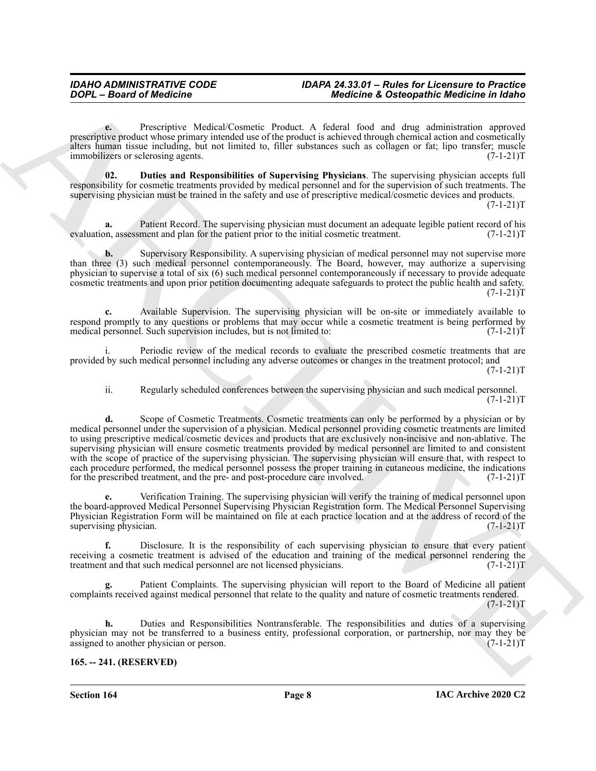#### *IDAHO ADMINISTRATIVE CODE IDAPA 24.33.01 – Rules for Licensure to Practice DOPL – Board of Medicine Medicine & Osteopathic Medicine in Idaho*

**e.** Prescriptive Medical/Cosmetic Product. A federal food and drug administration approved prescriptive product whose primary intended use of the product is achieved through chemical action and cosmetically alters human tissue including, but not limited to, filler substances such as collagen or fat; lipo transfer; muscle immobilizers or sclerosing agents. (7-1-21)T

<span id="page-7-1"></span>**02. Duties and Responsibilities of Supervising Physicians**. The supervising physician accepts full responsibility for cosmetic treatments provided by medical personnel and for the supervision of such treatments. The supervising physician must be trained in the safety and use of prescriptive medical/cosmetic devices and products.  $(7-1-21)T$ 

Patient Record. The supervising physician must document an adequate legible patient record of his ment and plan for the patient prior to the initial cosmetic treatment. (7-1-21)T evaluation, assessment and plan for the patient prior to the initial cosmetic treatment.

**b.** Supervisory Responsibility. A supervising physician of medical personnel may not supervise more than three (3) such medical personnel contemporaneously. The Board, however, may authorize a supervising physician to supervise a total of six (6) such medical personnel contemporaneously if necessary to provide adequate cosmetic treatments and upon prior petition documenting adequate safeguards to protect the public health and safety.  $(7-1-21)T$ 

**c.** Available Supervision. The supervising physician will be on-site or immediately available to respond promptly to any questions or problems that may occur while a cosmetic treatment is being performed by medical personnel. Such supervision includes, but is not limited to: (7-1-21) medical personnel. Such supervision includes, but is not limited to:

Periodic review of the medical records to evaluate the prescribed cosmetic treatments that are provided by such medical personnel including any adverse outcomes or changes in the treatment protocol; and

 $(7-1-21)T$ 

ii. Regularly scheduled conferences between the supervising physician and such medical personnel.  $(7-1-21)T$ 

**EXAMPLE CONTRACT CONTRACT CONTRACT CONTRACT CONTRACT CONTRACT CONTRACT CONTRACT CONTRACT CONTRACT CONTRACT CONTRACT CONTRACT CONTRACT CONTRACT CONTRACT CONTRACT CONTRACT CONTRACT CONTRACT CONTRACT CONTRACT CONTRACT CONTR d.** Scope of Cosmetic Treatments. Cosmetic treatments can only be performed by a physician or by medical personnel under the supervision of a physician. Medical personnel providing cosmetic treatments are limited to using prescriptive medical/cosmetic devices and products that are exclusively non-incisive and non-ablative. The supervising physician will ensure cosmetic treatments provided by medical personnel are limited to and consistent with the scope of practice of the supervising physician. The supervising physician will ensure that, with respect to each procedure performed, the medical personnel possess the proper training in cutaneous medicine, the indications for the prescribed treatment, and the pre- and post-procedure care involved. (7-1-21)T

**e.** Verification Training. The supervising physician will verify the training of medical personnel upon the board-approved Medical Personnel Supervising Physician Registration form. The Medical Personnel Supervising Physician Registration Form will be maintained on file at each practice location and at the address of record of the supervising physician.  $(7-1-21)T$ 

**f.** Disclosure. It is the responsibility of each supervising physician to ensure that every patient receiving a cosmetic treatment is advised of the education and training of the medical personnel rendering the treatment and that such medical personnel are not licensed physicians. (7-1-21)T

**g.** Patient Complaints. The supervising physician will report to the Board of Medicine all patient complaints received against medical personnel that relate to the quality and nature of cosmetic treatments rendered.  $(7-1-21)T$ 

**h.** Duties and Responsibilities Nontransferable. The responsibilities and duties of a supervising physician may not be transferred to a business entity, professional corporation, or partnership, nor may they be assigned to another physician or person. (7-1-21) assigned to another physician or person.

## <span id="page-7-0"></span>**165. -- 241. (RESERVED)**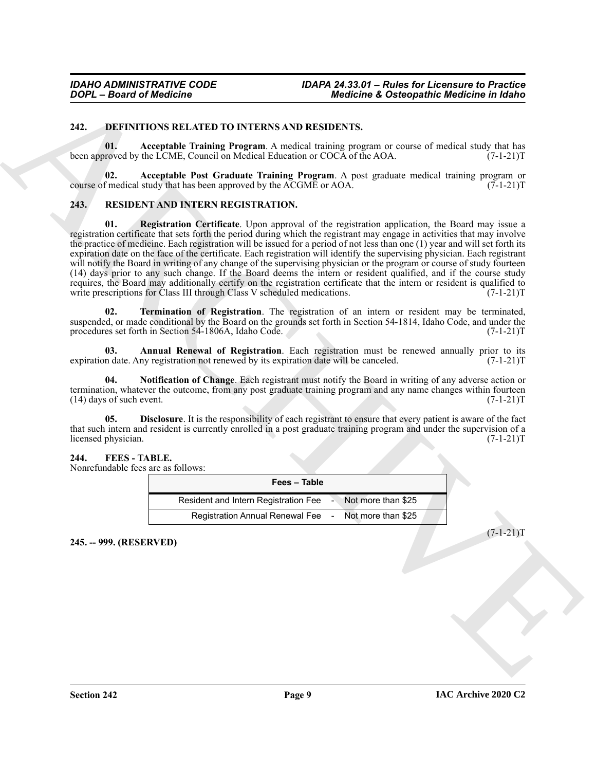#### <span id="page-8-4"></span><span id="page-8-0"></span>**242. DEFINITIONS RELATED TO INTERNS AND RESIDENTS.**

<span id="page-8-6"></span>**01. Acceptable Training Program**. A medical training program or course of medical study that has been approved by the LCME, Council on Medical Education or COCA of the AOA.  $(7-1-21)T$ 

<span id="page-8-5"></span>**02. Acceptable Post Graduate Training Program**. A post graduate medical training program or course of medical study that has been approved by the  $\angle ACGME$  or  $AOA$ .

#### <span id="page-8-13"></span><span id="page-8-12"></span><span id="page-8-1"></span>**243. RESIDENT AND INTERN REGISTRATION.**

**2007** - **Boxer's Medicine Control in the state of the state of the state of the state of the state of the state of the state of the state of the state of the state of the state of the state of the state of the state of 01. Registration Certificate**. Upon approval of the registration application, the Board may issue a registration certificate that sets forth the period during which the registrant may engage in activities that may involve the practice of medicine. Each registration will be issued for a period of not less than one (1) year and will set forth its expiration date on the face of the certificate. Each registration will identify the supervising physician. Each registrant will notify the Board in writing of any change of the supervising physician or the program or course of study fourteen (14) days prior to any such change. If the Board deems the intern or resident qualified, and if the course study requires, the Board may additionally certify on the registration certificate that the intern or resident is qualified to write prescriptions for Class III through Class V scheduled medications. (7-1-21)T

<span id="page-8-11"></span>**02. Termination of Registration**. The registration of an intern or resident may be terminated, suspended, or made conditional by the Board on the grounds set forth in Section 54-1814, Idaho Code, and under the procedures set forth in Section 54-1806A, Idaho Code. (7-1-21) procedures set forth in Section 54-1806A, Idaho Code.

<span id="page-8-8"></span>**03. Annual Renewal of Registration**. Each registration must be renewed annually prior to its in date. Any registration not renewed by its expiration date will be canceled. (7-1-21) expiration date. Any registration not renewed by its expiration date will be canceled.

<span id="page-8-10"></span>**04. Notification of Change**. Each registrant must notify the Board in writing of any adverse action or termination, whatever the outcome, from any post graduate training program and any name changes within fourteen  $(14)$  days of such event.  $(7-1-21)$ T  $(14)$  days of such event.

**05. Disclosure**. It is the responsibility of each registrant to ensure that every patient is aware of the fact that such intern and resident is currently enrolled in a post graduate training program and under the supervision of a licensed physician. (7-1-21)T

#### <span id="page-8-7"></span><span id="page-8-2"></span>**244. FEES - TABLE.**

Nonrefundable fees are as follows:

<span id="page-8-9"></span>

| Fees - Table                                              |  |  |  |  |
|-----------------------------------------------------------|--|--|--|--|
| Resident and Intern Registration Fee > Not more than \$25 |  |  |  |  |
| Registration Annual Renewal Fee - Not more than \$25      |  |  |  |  |

<span id="page-8-3"></span>**245. -- 999. (RESERVED)**

 $(7-1-21)$ T